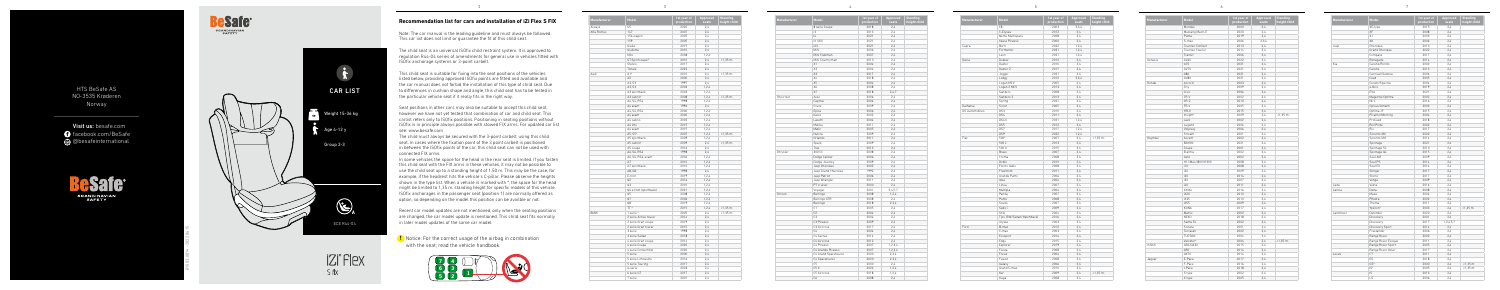## **Recommendation list for cars and installation of iZi Flex S FIX**

**!** Notice: For the correct usage of the airbag in combination with the seat; read the vehicle handbook.





B1803\_8014 - 2022 06 15

HTS BeSafe AS NO-3535 Krøderen Norway

Visit us: besafe.com **facebook.com/BeSafe** @besafeinternational

> **Bafe®** SCANDINAVIAN<br>SAFETY



2



| Model                 | 1st year of<br>production | Approved<br>seats | <b>Standing</b><br>height child |
|-----------------------|---------------------------|-------------------|---------------------------------|
| U <sub>5</sub>        | 2020                      | 2.4               |                                 |
| 147                   | 2007                      | 2,4               |                                 |
| 156 wagon             | 2005                      | 2,4               |                                 |
| 159                   | 2005                      | 2,4               |                                 |
| Giulia                | 2015                      | 2.4               |                                 |
| Giulietta             | 2010                      | 2.4               |                                 |
| Mito                  | 2008                      | 1, 2, 4           |                                 |
| GT Sportcoupe*        | 2010                      | 2,4               | $<1,35$ m.                      |
| Stelvio               | 2017                      | 2,4               |                                 |
| Tonale                | 2022                      | 2.4               |                                 |
| $A1$ <sup>*</sup>     | 2010                      | 2,4               | $<1,35$ m.                      |
| A <sub>2</sub>        | 2000                      | 2,4               |                                 |
| A3, S3                | 1997                      | 2.4               |                                 |
| A3, S3                | 2003                      | 1.2.4             |                                 |
| A3 sportback          | 2003                      | 1,2,4             |                                 |
| A3 cabrio*            | 2008                      | 1,2,4             | $< 1,35$ m.                     |
| A4, S4, RS4           | 1998                      |                   |                                 |
|                       |                           | 1,2,4             |                                 |
| A4 avant              | 1996                      | 2,4               |                                 |
| A4, S4, RS4           | 2000                      | 1,2,4             |                                 |
| A4 avant              | 2000                      | 1, 2, 4           |                                 |
| A4 cabrio             | 2002                      | 1,2,4             |                                 |
| A4 imo                | 2015                      | 1,2,4             |                                 |
| A4 avant              | 2015                      | 1,2,4             |                                 |
| A5, S5*               | 2007                      | 1,2,4             | $< 1,35$ m.                     |
| A5 sportback          | 2009                      | 1,2,4             |                                 |
| A5 cabrio*            | 2009                      | 2.4               | $< 1,35$ m.                     |
| A5 coupe              | 2016                      | 2,4               |                                 |
| A6, S6, RS6           | 1998                      | 2,4               |                                 |
| A6, S6, RS6, avant    | 2004                      | 1,2,4             |                                 |
| A7                    | 2010                      | 1,2,4             |                                 |
| A7 sportback          | 2010                      | 1, 2, 4           |                                 |
| A8, S8                | 1998                      | 2,4               |                                 |
| E-tron                | 2019                      | 1,2,4             |                                 |
| Q2                    | 2016                      | 1,2,4             |                                 |
| Q3                    | 2010                      | 1, 2, 4           |                                 |
| Q4 e-tron (sportback) | 2021                      | 1,2,4             |                                 |
| Q <sub>5</sub>        | 2008                      | 1,2,4             |                                 |
| Q7                    | 2006                      | 1,2,4             |                                 |
| Q8                    | 2019                      | 1, 2, 4           |                                 |
| TT*                   | 2015                      | 1,2,4             | $< 1,35$ m.                     |
| 1 serie *             | 2005                      | 2,4               | $< 1,35$ m.                     |
| 2 serie Active tourer | 2014                      | 2.4               |                                 |
| 2 serie Gran coupe    | 2019                      | 2,4               |                                 |
| 2 serie Gran tourer   | 2015                      | 2,4               |                                 |
| 3 serie               | 1998                      | 2,4               |                                 |
| 3 serie Sedan         | 2018                      | 2,4               |                                 |
| 4 serie Gran coupe    | 2014                      | 2,4               |                                 |
| 4 serie Coupe         | 2020                      | 2,4               |                                 |
| 4 serie Convertible   | 2020                      | 2,4               |                                 |
| 5 serie               | 2000                      | 2.4               |                                 |
| 5 serie Limousine     | 2016                      | 2,4               |                                 |
| 5 serie Touring       | 2017                      | 2,4               |                                 |
| 6-serie               | 2003                      | 2,4               |                                 |
| 6 serie GT            | 2017                      | 2.4               |                                 |
| 7 serie               | 2001                      | 2,4               |                                 |
|                       |                           |                   |                                 |

| Manufacturer | Model                            | 1st year of<br>production | Approved<br>seats | <b>Standing</b><br>height child |
|--------------|----------------------------------|---------------------------|-------------------|---------------------------------|
|              | 8 serie Coupe                    | 2018                      | 2,4               |                                 |
|              | i3                               | 2013                      | 2,4               |                                 |
|              | 4                                | 2021                      | 2.4               |                                 |
|              | iX (i20)                         | 2021                      | 2.4               |                                 |
|              | iX3                              | 2021                      | 2.4               |                                 |
|              | Mini                             | 2006                      | 2,4               |                                 |
|              | Mini Clubman                     | 2007                      | 2.4               |                                 |
|              | Mini Countryman                  | 2010                      | 2.4               |                                 |
|              | X1                               | 2004                      | 2,4               |                                 |
|              | X3                               | 2004                      | 2,4               |                                 |
|              | X3                               | 2017                      | 2,4               |                                 |
|              | X4                               | 2018                      | 2.4               |                                 |
|              | X5                               | 2004                      | 2,4               |                                 |
|              | X6                               | 2008                      | 2,4               |                                 |
|              | X7                               | 2018                      | 2,4,7             |                                 |
| Chevrolet    | Aveo                             | 2006                      | 2,4               |                                 |
|              | Captiva                          | 2006                      | 2,4               |                                 |
|              | Cruze                            | 2009                      | 2,4               |                                 |
|              | Epica                            | 2006                      | 2.4               |                                 |
|              | Kalos                            | 2002                      | 2,4               |                                 |
|              | Lacetti                          | 2004                      | 2.4               |                                 |
|              | Malibu                           | 2011                      |                   |                                 |
|              | Matiz                            | 2005                      | 2,4<br>2.4        |                                 |
|              |                                  |                           |                   |                                 |
|              | Nubira                           | 2009                      | 2,4               |                                 |
|              | Orlando                          | 2011                      | 2,4               |                                 |
|              | Spark                            | 2009                      | 2.4               |                                 |
|              | Trax                             | 2013                      | 2,4               |                                 |
| Chrysler     | 300 CC                           | 2008                      | 2,4               |                                 |
|              | Dodge Caliber                    | 2006                      | 2,4               |                                 |
|              | Dodge Journey                    | 2009                      | 2.4               |                                 |
|              | Jeep Cherokee                    | 2002                      | 2,4               |                                 |
|              | Jeep Grand Cherokee              | 1992                      | 2,4               |                                 |
|              | Jeep Patriot                     | 2006                      | 2,4               |                                 |
|              | Jeep Wrangler                    | 2011                      | 2.4               |                                 |
|              | PT cruiser                       | 2000                      | 2,4               |                                 |
|              | Voyager                          | 2001                      | 2,4,5,7           |                                 |
| Citroen      | Berlingo                         | 2008                      | 1,2,4             |                                 |
|              | Berlingo XTR                     | 2008                      | 2.4               |                                 |
|              | Berlingo                         | 2018                      | 2,3,4             |                                 |
|              | C1                               | 2005                      | 2,4               |                                 |
|              | C <sub>2</sub>                   | 2004                      | 2,4               |                                 |
|              | C <sub>3</sub>                   | 2004                      | 2.4               |                                 |
|              | C3 Picasso                       | 2009                      | 2,4               |                                 |
|              | C3 Aircross                      | 2017                      | 2.4               |                                 |
|              | C.4                              | 2004                      | 2.4               |                                 |
|              | C4 Cactus                        | 2014                      | 2,4               |                                 |
|              | C4 Aircross                      | 2012                      | 2,4               |                                 |
|              | C4 Picasso                       | 2007                      | 1,2,3,4           |                                 |
|              | C4 Grande Picasso                | 2007                      | 1,2,3,4           |                                 |
|              | C4 Grand Spacetourer             | 2020                      | 2,3,4             |                                 |
|              |                                  | 2020                      | 2,3,4             |                                 |
|              |                                  |                           |                   |                                 |
|              | C4 Spacetourer<br>C <sub>5</sub> | 2000                      | 2,4               |                                 |
|              | C5 X                             | 2022                      | 1,2,4             |                                 |
|              | C5 Aircross                      | 2018                      | 1,2,4             |                                 |

Note: The car manual is the leading guideline and must always be followed. This car list does not limit or guarantee the fit of this child seat.

| Manufacturer          | Model                     | 1st year of<br>production | Approved<br>seats | <b>Standing</b><br>height child |
|-----------------------|---------------------------|---------------------------|-------------------|---------------------------------|
|                       | C <sub>8</sub>            | 2003                      | 2,3,4             |                                 |
|                       | C-Elysée                  | 2012                      | 2.4               |                                 |
|                       | Nemo Multispace           | 2008                      | 2.4               |                                 |
|                       | Xsara Picasso             | 2000                      | 2.4               |                                 |
| Cupra                 | Born                      | 2022                      | 1,2,4             |                                 |
|                       | Formentor                 | 2021                      | 1,2,4             |                                 |
|                       | Leon                      | 2021                      | 1,2,4             |                                 |
| Dacia                 | Dokker                    | 2012                      | 2,4               |                                 |
|                       | Duster                    | 2010                      | 2.4               |                                 |
|                       | Duster 2                  | 2017                      | 2.4               |                                 |
|                       | Jogger                    | 2021                      | 2.4               |                                 |
|                       | Lodgy                     | 2012                      | 2,3,4             |                                 |
|                       | Logan MCV                 | 2005                      | 2.4               |                                 |
|                       | Logan 2 MCV               | 2013                      | 2.4               |                                 |
|                       | Sandero                   | 2008                      | 2,4               |                                 |
|                       | Sandero 2                 | 2013                      | 2.4               |                                 |
|                       | Spring                    | 2021                      | 2.4               |                                 |
| Daihatsu              | Sirion                    | 2005                      | 2.4               |                                 |
| <b>DS Automobiles</b> | DS3                       | 2010                      | 2,4               |                                 |
|                       | DS4                       | 2011                      | 2,4               |                                 |
|                       | DS4 II                    | 2021                      | 1,2,4             |                                 |
|                       | DS5                       | 2012                      | 2.4               |                                 |
|                       | DS7                       | 2017                      | 1.2.4             |                                 |
|                       | DS9                       | 2022                      | 1.2.4             |                                 |
| Fiat                  | 500*                      | 2007                      | 2.4               | $< 1,35$ m.                     |
|                       | 500L                      | 2013                      | 2.4               |                                 |
|                       | 500 X                     | 2015                      | 2,4               |                                 |
|                       | Bravo                     | 2007                      | 2,4               |                                 |
|                       | Croma                     | 2008                      | 2,4               |                                 |
|                       | Doblò                     | 2010                      | 2,4               |                                 |
|                       | Fiorno Qubo               | 2008                      | 2.4               |                                 |
|                       | Freemont                  | 2011                      | 2.4               |                                 |
|                       | Grande Punto              | 2006                      | 2.4               |                                 |
|                       | Idea                      | 2004                      | 2.4               |                                 |
|                       | Linea                     | 2007                      | 2.4               |                                 |
|                       | Multipla                  | 2004                      | 2.4               |                                 |
|                       | Panda                     | 2007                      | 2.4               |                                 |
|                       | Punto                     | 2008                      | 2.4               |                                 |
|                       |                           |                           |                   |                                 |
|                       | Scudo                     | 2007                      | 2,4               |                                 |
|                       | Sedici                    | 2009                      | 2.4               |                                 |
|                       | Stilo                     | 2004                      | 2.4               |                                 |
|                       | Tipo (SW/Sedan/Hatchback) | 2016                      | 2,4               |                                 |
|                       | Ulysee                    | 2003                      | 2,4               |                                 |
| Ford                  | B-max                     | 2012                      | 2.4               |                                 |
|                       | C-max                     | 2003                      | 2.4               |                                 |
|                       | Ecosport                  | 2014                      | 2.4               |                                 |
|                       | Edge                      | 2015                      | 2.4               |                                 |
|                       | Explorer                  | 2019                      | 2,4               |                                 |
|                       | Fiesta                    | 2008                      | 2.4               |                                 |
|                       | Focus                     | 2004                      | 2,4               |                                 |
|                       | Fusion                    | 2008                      | 2,4               |                                 |
|                       | Galaxy                    | 2006                      | 2,4               |                                 |
|                       | Grand C-max               | 2010                      | 2,4               |                                 |
|                       | Ka <sup>*</sup>           | 2009                      | 2.4               | $< 1,35$ m.                     |
|                       | Kuga                      | 2008                      | 2.4               |                                 |

| Model             | 1st year of<br>production | Approved<br>seats | <b>Standing</b><br>height child |
|-------------------|---------------------------|-------------------|---------------------------------|
| Mondeo            | 2000                      | 2,4               |                                 |
| Mustang Mach-E    | 2020                      | 2,4               |                                 |
| Puma              | 2019                      | 2,4               |                                 |
| S-max             | 2006                      | 2,3,4             |                                 |
| Tourneo Connect   | 2013                      | 2,4               |                                 |
| Tourneo Courier   | 2014                      | 2,4               |                                 |
| Transit           | 2006                      | 2,4               |                                 |
| GV60              | 2022                      | 2,4               |                                 |
| G70               | 2021                      | 2,4               |                                 |
| GV70              | 2021                      | 2,4               |                                 |
| G80               | 2021                      | 2,4               |                                 |
| GV80              | 2021                      | 2,4               |                                 |
| Accord            | 2003                      | 2,4               |                                 |
| City              | 2009                      | 2,4               |                                 |
| Civic             | 2006                      | 2,4               |                                 |
| CR-V              | 2002                      | 2,4               |                                 |
| CR-Z              | 2010                      | 2,4               |                                 |
| FR-V              | 2005                      | 2,4               |                                 |
| HR-V              | 2015                      | 2,4               |                                 |
| Insight*          | 2009                      | 2,4               | $<$ 1,35 $m$ .                  |
| Jazz              | 2002                      | 2,4               |                                 |
| Legend            | 2006                      | 2,4               |                                 |
| Odyssey           | 2006                      | 2.4               |                                 |
| Stream            | 2001                      | 2,4               |                                 |
| Accent            | 2002                      | 2,4               |                                 |
| <b>BAYON</b>      | 2021                      | 2.4               |                                 |
| Coupe             | 2001                      | 2,4               |                                 |
| Elantra           | 2002                      | 2,4               |                                 |
| Getz              | 2002                      | 2,4               |                                 |
| H1/iMax/i800/H300 | 2008                      | 2,4               |                                 |
| i10               | 2008                      | 2,4               |                                 |
| i20               | 2009                      | 2,4               |                                 |
| i20               | 2014                      | 2,4               |                                 |
| i30               | 2007                      | 2,4               |                                 |
| i40               | 2011                      | 2,4               |                                 |
| IONIQ             | 2016                      | 2,4               |                                 |
| iX20              | 2010                      | 2,4               |                                 |
| iX35              | 2010                      | 2,4               |                                 |
| iX55              | 2009                      | 2,4               |                                 |
| KONA              | 2017                      | 2,4               |                                 |
| Matrix            | 2002                      | 2,4               |                                 |
| <b>NEXO</b>       | 2018                      | 2,4               |                                 |
| Santa Fe          | 2002                      | 2,4               |                                 |
| Sonata            | 2001                      | 2,4               |                                 |
| Terracan          | 2002                      | 2,4               |                                 |
| <b>TUCSON</b>     | 2004                      | 2,4               |                                 |
| Veloster*         | 2004                      | 2,4               | $<$ 1,35 $m$ .                  |
| Q30/QX30          | 2015                      | 2,4               |                                 |
| Q50               | 2014                      | 2,4               |                                 |
| QX70              | 2014                      | 2,4               |                                 |
| E-Pace            | 2017                      | 2,4               |                                 |
| F-Pace            | 2016                      | 2,4               |                                 |
| I-Pace            | 2018                      | 2,4               |                                 |
| S type            | 2002                      | 2,4               |                                 |
| X type            | 2005                      | 2,4               |                                 |
|                   |                           |                   |                                 |

| Manufacturer | Model             | 1st year of<br>production | Approv<br>:seat |
|--------------|-------------------|---------------------------|-----------------|
|              | Mondeo            | 2000                      |                 |
|              | Mustang Mach-E    | 2020                      |                 |
|              | Puma              | 2019                      |                 |
|              | S-max             | 2006                      | 2,3,4           |
|              | Tourneo Connect   | 2013                      |                 |
|              | Tourneo Courier   | 2014                      |                 |
|              | Transit           | 2006                      |                 |
| Genesis      | GV60              | 2022                      |                 |
|              | G70               | 2021                      |                 |
|              | GV70              | 2021                      |                 |
|              | G80               | 2021                      |                 |
|              | GV80              | 2021                      |                 |
| Honda        | Accord            | 2003                      |                 |
|              | City              | 2009                      |                 |
|              | Civic             | 2006                      |                 |
|              | CR-V              | 2002                      |                 |
|              | CR-Z              | 2010                      |                 |
|              | FR-V              | 2005                      |                 |
|              | HR-V              | 2015                      |                 |
|              | Insight*          | 2009                      |                 |
|              | Jazz              | 2002                      |                 |
|              | Legend            | 2006                      |                 |
|              | Odyssey           | 2006                      |                 |
|              | Stream            | 2001                      |                 |
| Huyndai      | Accent            | 2002                      |                 |
|              | <b>BAYON</b>      | 2021                      |                 |
|              | Coupe             | 2001                      |                 |
|              | Elantra           | 2002                      |                 |
|              | Getz              | 2002                      |                 |
|              | H1/iMax/i800/H300 | 2008                      |                 |
|              | i10               | 2008                      |                 |
|              | i20               | 2009                      |                 |
|              | i20               | 2014                      |                 |
|              | i30               | 2007                      |                 |
|              | i40               | 2011                      |                 |
|              | <b>IONIQ</b>      | 2016                      |                 |
|              | iX20              | 2010                      |                 |
|              | iX35              | 2010                      |                 |
|              | iX55              | 2009                      |                 |
|              | KONA              | 2017                      |                 |
|              | Matrix            | 2002                      |                 |
|              | NEX <sub>0</sub>  | 2018                      |                 |
|              | Santa Fe          | 2002                      |                 |
|              | Sonata            | 2001                      |                 |
|              | Terracan          | 2002                      |                 |
|              | TUCSON            | 2004                      |                 |
|              | Veloster*         | 2004                      |                 |
| Infiniti     | Q30/QX30          | 2015                      |                 |
|              | Q50               | 2014                      |                 |
|              | QX70              | 2014                      |                 |
| Jaguar       | E-Pace            | 2017                      |                 |
|              | F-Pace            | 2016                      |                 |
|              | I-Pace            | 2018                      |                 |
|              |                   |                           |                 |
|              | S type            | 2002                      |                 |
|              | X type            | 2005                      |                 |

3

4

5

| Manufacturer | Model                      | 1st year of<br>production | Approved<br>seats | <b>Standing</b><br>height child |
|--------------|----------------------------|---------------------------|-------------------|---------------------------------|
|              | XE-type                    | 2015                      | 2,4               |                                 |
|              | XF                         | 2008                      | 2,4               |                                 |
|              | XJ                         | 2003                      | 2.4               |                                 |
|              | XK                         | 2006                      | 2,4               |                                 |
| Jeep         | Cherokee                   | 2013                      | 2,4               |                                 |
|              | Grand Cherokee             | 2022                      | 2,4               |                                 |
|              | Compass                    | 2017                      | 2.4               |                                 |
|              | Renegade                   | 2014                      | 2.4               |                                 |
| Kia          | Carens/Rondo               | 2002                      | 2,4               |                                 |
|              | Carens                     | 2013                      | 2,4               |                                 |
|              | Carnival/Sedona            | 2006                      | 2,4               |                                 |
|              | Ceed                       | 2005                      | 2.4               |                                 |
|              | Cerato/Spectra             | 2004                      | 2,4               |                                 |
|              | e-Niro                     | 2019                      | 2,4               |                                 |
|              | EV6                        | 2021                      | 2.4               |                                 |
|              | Magentis/Optima            | 2002                      | 2.4               |                                 |
|              | Niro                       | 2016                      | 2.4               |                                 |
|              | Opirus/Amanti              | 2003                      | 2,4               |                                 |
|              | Optima JF                  | 2015                      | 2,4               |                                 |
|              |                            | 2004                      | 2.4               |                                 |
|              | Picanto/Morning<br>ProCeed | 2018                      | 2,4               |                                 |
|              | Rio/Pride                  | 2002                      | 2,4               |                                 |
|              |                            |                           |                   |                                 |
|              | Rio                        | 2017                      | 2,4               |                                 |
|              | Sorento XM                 | 2002                      | 2,4               |                                 |
|              | Sorento UM                 | 2014                      | 2,4               |                                 |
|              | Sportage                   | 2021                      | 2.4               |                                 |
|              | Sportage SL                | 2010                      | 2.4               |                                 |
|              | Sportage QL                | 2015                      | 2,4               |                                 |
|              | Soul AM                    | 2009                      | 2,4               |                                 |
|              | Soul PS                    | 2014                      | 2,4               |                                 |
|              | Soul EV                    | 2014                      | 2,4               |                                 |
|              | Stinger                    | 2017                      | 2,4               |                                 |
|              | Stonic                     | 2017                      | 2,4               |                                 |
|              | Venga                      | 2009                      | 2,4               |                                 |
| Lada         | Vesta                      | 2016                      | 2,4               |                                 |
| Lancia       | Delta                      | 2008                      | 2,4               |                                 |
|              | Musa                       | 2004                      | 2.4               |                                 |
|              | Phedra                     | 2002                      | 2,4               |                                 |
|              | Thema                      | 2011                      | 2,4               |                                 |
|              | Ypsilon*                   | 2003                      | 2,4               | $<1,35$ m.                      |
| Landrover    | Defender                   | 2020                      | 2.4               |                                 |
|              | Discovery                  | 2001                      | 2.4               |                                 |
|              | Discovery                  | 2017                      | 1,2,4,5,7         |                                 |
|              | Discovery Sport            | 2014                      | 2,4               |                                 |
|              | Freelander                 | 2006                      | 2,4               |                                 |
|              | Range Rover                | 2002                      | 2.4               |                                 |
|              | Range Rover Evoque         | 2011                      | 2,4               |                                 |
|              | Range Rover Sport          | 2005                      | 2,4               |                                 |
|              | Range Rover Velar          | 2017                      | 2,4               |                                 |
| Lexus        | <b>CT</b>                  | 2011                      | 2.4               |                                 |
|              | ES                         | 2018                      | 2.4               |                                 |
|              | GS <sup>+</sup>            | 2000                      | 2,4               | $<1,35$ m.                      |
|              | IS*                        | 2005                      | 2,4               | $<1,35$ m.                      |
|              | IS                         | 2013                      | 2.4               |                                 |
|              | $\overline{S}$             | 2006                      | 2.4               |                                 |



The child seat is an universal ISOfix child restraint system. It is approved to regulation R44-04 series of amendments for general use in vehicles fitted with ISOfix anchorage systems or 3-point carbelt.

This child seat is suitable for fixing into the seat positions of the vehicles listed below, providing approved ISOfix points are fitted and available and the car manual does not forbid the installation of this type of child seat. Due to differences in cushion shape and angle, this child seat has to be tested in the particular vehicle seat if it really fits in the right way.

Seat positions in other cars may also be suitable to accept this child seat, however we have not yet tested that combination of car and child seat. This carlist refers only to ISOfix positions. Positioning in seating positions without ISOfix is in principle always possible with stowed FIX arms. For updated car list see: www.besafe.com

The child must always be secured with the 3-point carbelt, using this child seat. In cases where the fixation point of the 3 point carbelt is positioned in between the ISOfix points of the car, this child seat can not be used with connected FIX arms.

In some vehicles the space for the head in the rear seat is limited. If you fasten this child seat with the FIX arms in these vehicles, it may not be possible to use the child seat up to a standing height of 1.50 m. This may be the case, for example, if the headrest hits the vehicle's C-pillar. Please observe the heights shown in the type list. When a vehicle is marked with \*, the space for the head might be limited to 1,35 m. standing height for specific models of this vehicle. ISOfix anchorages in the passenger seat (position 1) are normally offered as option, so depending on the model this position can be availble or not.

Recent car model updates are not mentioned, only when the seating positions are changed, the car model update is mentioned. This child seat fits normally in later model updates of the same car model.